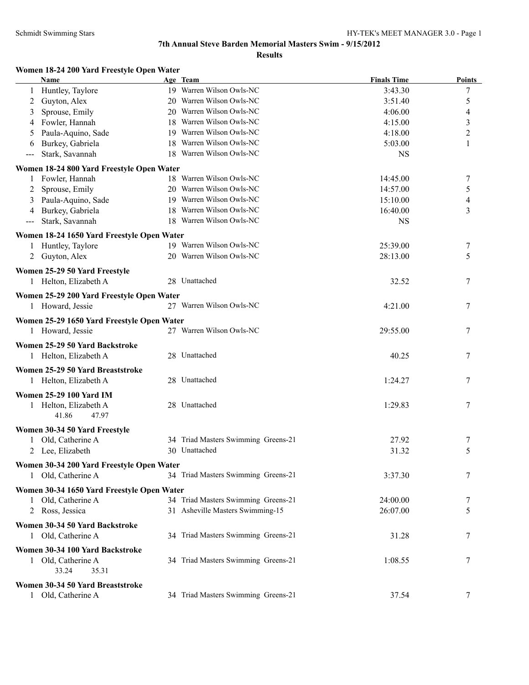#### **Women 18-24 200 Yard Freestyle Open Water**

| <b>Name</b>                                | Age Team                            | <b>Finals Time</b> | <b>Points</b>  |
|--------------------------------------------|-------------------------------------|--------------------|----------------|
| Huntley, Taylore<br>1                      | 19 Warren Wilson Owls-NC            | 3:43.30            | 7              |
| Guyton, Alex<br>2                          | 20 Warren Wilson Owls-NC            | 3:51.40            | 5              |
| Sprouse, Emily<br>3                        | 20 Warren Wilson Owls-NC            | 4:06.00            | 4              |
| Fowler, Hannah<br>4                        | 18 Warren Wilson Owls-NC            | 4:15.00            | 3              |
| Paula-Aquino, Sade<br>5                    | 19 Warren Wilson Owls-NC            | 4:18.00            | $\overline{c}$ |
| Burkey, Gabriela<br>6                      | 18 Warren Wilson Owls-NC            | 5:03.00            | 1              |
| Stark, Savannah<br>---                     | 18 Warren Wilson Owls-NC            | <b>NS</b>          |                |
|                                            |                                     |                    |                |
| Women 18-24 800 Yard Freestyle Open Water  |                                     |                    |                |
| Fowler, Hannah<br>1                        | 18 Warren Wilson Owls-NC            | 14:45.00           | 7              |
| Sprouse, Emily<br>2                        | 20 Warren Wilson Owls-NC            | 14:57.00           | 5              |
| Paula-Aquino, Sade<br>3                    | 19 Warren Wilson Owls-NC            | 15:10.00           | 4              |
| Burkey, Gabriela<br>4                      | 18 Warren Wilson Owls-NC            | 16:40.00           | 3              |
| Stark, Savannah<br>---                     | 18 Warren Wilson Owls-NC            | <b>NS</b>          |                |
| Women 18-24 1650 Yard Freestyle Open Water |                                     |                    |                |
| Huntley, Taylore<br>$\mathbf{1}$           | 19 Warren Wilson Owls-NC            | 25:39.00           | 7              |
| 2 Guyton, Alex                             | 20 Warren Wilson Owls-NC            | 28:13.00           | 5              |
|                                            |                                     |                    |                |
| Women 25-29 50 Yard Freestyle              | 28 Unattached                       |                    |                |
| 1 Helton, Elizabeth A                      |                                     | 32.52              | 7              |
| Women 25-29 200 Yard Freestyle Open Water  |                                     |                    |                |
| 1 Howard, Jessie                           | 27 Warren Wilson Owls-NC            | 4:21.00            | 7              |
| Women 25-29 1650 Yard Freestyle Open Water |                                     |                    |                |
| 1 Howard, Jessie                           | 27 Warren Wilson Owls-NC            | 29:55.00           | 7              |
|                                            |                                     |                    |                |
| Women 25-29 50 Yard Backstroke             |                                     |                    |                |
| 1 Helton, Elizabeth A                      | 28 Unattached                       | 40.25              | 7              |
| Women 25-29 50 Yard Breaststroke           |                                     |                    |                |
| 1 Helton, Elizabeth A                      | 28 Unattached                       | 1:24.27            | 7              |
| <b>Women 25-29 100 Yard IM</b>             |                                     |                    |                |
| 1 Helton, Elizabeth A                      | 28 Unattached                       | 1:29.83            | 7              |
| 41.86<br>47.97                             |                                     |                    |                |
|                                            |                                     |                    |                |
| Women 30-34 50 Yard Freestyle              |                                     |                    |                |
| Old, Catherine A                           | 34 Triad Masters Swimming Greens-21 | 27.92              | 7              |
| 2 Lee, Elizabeth                           | 30 Unattached                       | 31.32              | 5              |
| Women 30-34 200 Yard Freestyle Open Water  |                                     |                    |                |
| 1 Old, Catherine A                         | 34 Triad Masters Swimming Greens-21 | 3:37.30            | 7              |
| Women 30-34 1650 Yard Freestyle Open Water |                                     |                    |                |
| Old, Catherine A<br>$\mathbf{1}$           | 34 Triad Masters Swimming Greens-21 | 24:00.00           | 7              |
| 2 Ross, Jessica                            | 31 Asheville Masters Swimming-15    | 26:07.00           | 5              |
|                                            |                                     |                    |                |
| Women 30-34 50 Yard Backstroke             |                                     |                    |                |
| 1 Old, Catherine A                         | 34 Triad Masters Swimming Greens-21 | 31.28              | 7              |
| Women 30-34 100 Yard Backstroke            |                                     |                    |                |
| Old, Catherine A                           | 34 Triad Masters Swimming Greens-21 | 1:08.55            | 7              |
| 33.24<br>35.31                             |                                     |                    |                |
| Women 30-34 50 Yard Breaststroke           |                                     |                    |                |
| 1 Old, Catherine A                         | 34 Triad Masters Swimming Greens-21 | 37.54              | 7              |
|                                            |                                     |                    |                |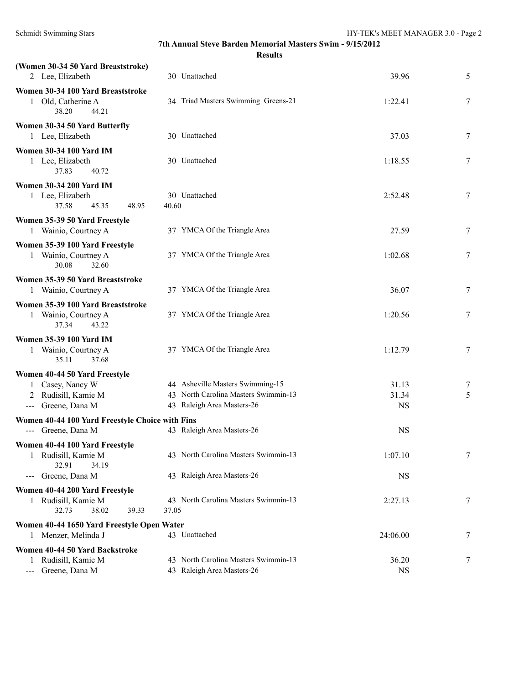**Results**

| (Women 30-34 50 Yard Breaststroke)<br>2 Lee, Elizabeth                                         | 30 Unattached                                                                                          | 39.96                       | 5      |
|------------------------------------------------------------------------------------------------|--------------------------------------------------------------------------------------------------------|-----------------------------|--------|
| Women 30-34 100 Yard Breaststroke                                                              |                                                                                                        |                             |        |
| 1 Old, Catherine A<br>38.20<br>44.21                                                           | 34 Triad Masters Swimming Greens-21                                                                    | 1:22.41                     | 7      |
| Women 30-34 50 Yard Butterfly<br>1 Lee, Elizabeth                                              | 30 Unattached                                                                                          | 37.03                       | 7      |
| <b>Women 30-34 100 Yard IM</b><br>1 Lee, Elizabeth<br>37.83<br>40.72                           | 30 Unattached                                                                                          | 1:18.55                     | 7      |
| <b>Women 30-34 200 Yard IM</b><br>1 Lee, Elizabeth<br>37.58<br>45.35<br>48.95                  | 30 Unattached<br>40.60                                                                                 | 2:52.48                     | 7      |
| Women 35-39 50 Yard Freestyle<br>1 Wainio, Courtney A                                          | 37 YMCA Of the Triangle Area                                                                           | 27.59                       | 7      |
| Women 35-39 100 Yard Freestyle<br>1 Wainio, Courtney A<br>30.08<br>32.60                       | 37 YMCA Of the Triangle Area                                                                           | 1:02.68                     | 7      |
| Women 35-39 50 Yard Breaststroke<br>1 Wainio, Courtney A                                       | 37 YMCA Of the Triangle Area                                                                           | 36.07                       | 7      |
| Women 35-39 100 Yard Breaststroke<br>1 Wainio, Courtney A<br>37.34<br>43.22                    | 37 YMCA Of the Triangle Area                                                                           | 1:20.56                     | 7      |
| <b>Women 35-39 100 Yard IM</b><br>1 Wainio, Courtney A<br>35.11<br>37.68                       | 37 YMCA Of the Triangle Area                                                                           | 1:12.79                     | 7      |
| Women 40-44 50 Yard Freestyle<br>1 Casey, Nancy W<br>2 Rudisill, Kamie M<br>--- Greene, Dana M | 44 Asheville Masters Swimming-15<br>43 North Carolina Masters Swimmin-13<br>43 Raleigh Area Masters-26 | 31.13<br>31.34<br><b>NS</b> | 7<br>5 |
| Women 40-44 100 Yard Freestyle Choice with Fins<br>--- Greene, Dana M                          | 43 Raleigh Area Masters-26                                                                             | <b>NS</b>                   |        |
| Women 40-44 100 Yard Freestyle<br>Rudisill, Kamie M<br>1<br>32.91<br>34.19                     | 43 North Carolina Masters Swimmin-13                                                                   | 1:07.10                     | $\tau$ |
| Greene, Dana M<br>--- 1                                                                        | 43 Raleigh Area Masters-26                                                                             | <b>NS</b>                   |        |
| Women 40-44 200 Yard Freestyle<br>1 Rudisill, Kamie M<br>32.73<br>38.02<br>39.33               | 43 North Carolina Masters Swimmin-13<br>37.05                                                          | 2:27.13                     | 7      |
| Women 40-44 1650 Yard Freestyle Open Water<br>1 Menzer, Melinda J                              | 43 Unattached                                                                                          | 24:06.00                    | 7      |
| Women 40-44 50 Yard Backstroke<br>1 Rudisill, Kamie M<br>Greene, Dana M                        | 43 North Carolina Masters Swimmin-13<br>43 Raleigh Area Masters-26                                     | 36.20<br><b>NS</b>          | 7      |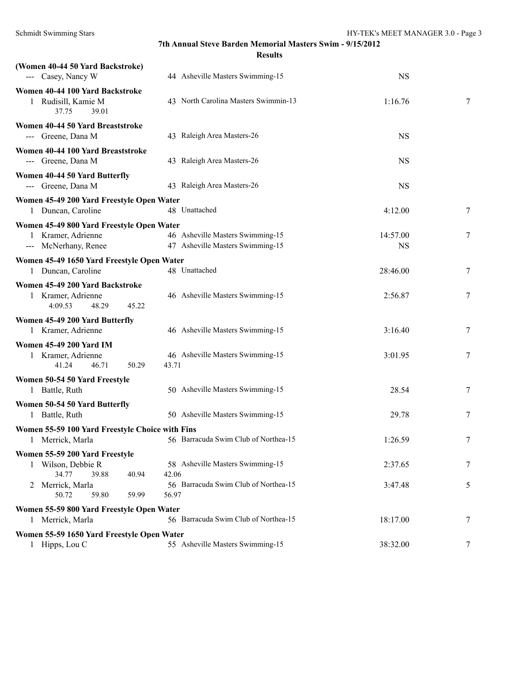| (Women 40-44 50 Yard Backstroke)<br>--- Casey, Nancy W                                  | 44 Asheville Masters Swimming-15                                     | <b>NS</b>             |   |
|-----------------------------------------------------------------------------------------|----------------------------------------------------------------------|-----------------------|---|
| Women 40-44 100 Yard Backstroke<br>1 Rudisill, Kamie M<br>37.75<br>39.01                | 43 North Carolina Masters Swimmin-13                                 | 1:16.76               | 7 |
| Women 40-44 50 Yard Breaststroke<br>--- Greene, Dana M                                  | 43 Raleigh Area Masters-26                                           | <b>NS</b>             |   |
| Women 40-44 100 Yard Breaststroke<br>--- Greene, Dana M                                 | 43 Raleigh Area Masters-26                                           | <b>NS</b>             |   |
| Women 40-44 50 Yard Butterfly<br>--- Greene, Dana M                                     | 43 Raleigh Area Masters-26                                           | <b>NS</b>             |   |
| Women 45-49 200 Yard Freestyle Open Water<br>1 Duncan, Caroline                         | 48 Unattached                                                        | 4:12.00               | 7 |
| Women 45-49 800 Yard Freestyle Open Water<br>1 Kramer, Adrienne<br>--- McNerhany, Renee | 46 Asheville Masters Swimming-15<br>47 Asheville Masters Swimming-15 | 14:57.00<br><b>NS</b> | 7 |
| Women 45-49 1650 Yard Freestyle Open Water<br>1 Duncan, Caroline                        | 48 Unattached                                                        | 28:46.00              | 7 |
| Women 45-49 200 Yard Backstroke<br>1 Kramer, Adrienne<br>4:09.53<br>48.29<br>45.22      | 46 Asheville Masters Swimming-15                                     | 2:56.87               | 7 |
| Women 45-49 200 Yard Butterfly<br>1 Kramer, Adrienne                                    | 46 Asheville Masters Swimming-15                                     | 3:16.40               | 7 |
| <b>Women 45-49 200 Yard IM</b><br>1 Kramer, Adrienne<br>41.24<br>46.71<br>50.29         | 46 Asheville Masters Swimming-15<br>43.71                            | 3:01.95               | 7 |
| Women 50-54 50 Yard Freestyle<br>1 Battle, Ruth                                         | 50 Asheville Masters Swimming-15                                     | 28.54                 | 7 |
| Women 50-54 50 Yard Butterfly<br>1 Battle, Ruth                                         | 50 Asheville Masters Swimming-15                                     | 29.78                 | 7 |
| Women 55-59 100 Yard Freestyle Choice with Fins<br>1 Merrick, Marla                     | 56 Barracuda Swim Club of Northea-15                                 | 1:26.59               | 7 |
| Women 55-59 200 Yard Freestyle<br>1 Wilson, Debbie R<br>34.77<br>39.88<br>40.94         | 58 Asheville Masters Swimming-15<br>42.06                            | 2:37.65               | 7 |
| 2 Merrick, Marla<br>50.72<br>59.99<br>59.80                                             | 56 Barracuda Swim Club of Northea-15<br>56.97                        | 3:47.48               | 5 |
| Women 55-59 800 Yard Freestyle Open Water<br>1 Merrick, Marla                           | 56 Barracuda Swim Club of Northea-15                                 | 18:17.00              | 7 |
| Women 55-59 1650 Yard Freestyle Open Water<br>1 Hipps, Lou C                            | 55 Asheville Masters Swimming-15                                     | 38:32.00              | 7 |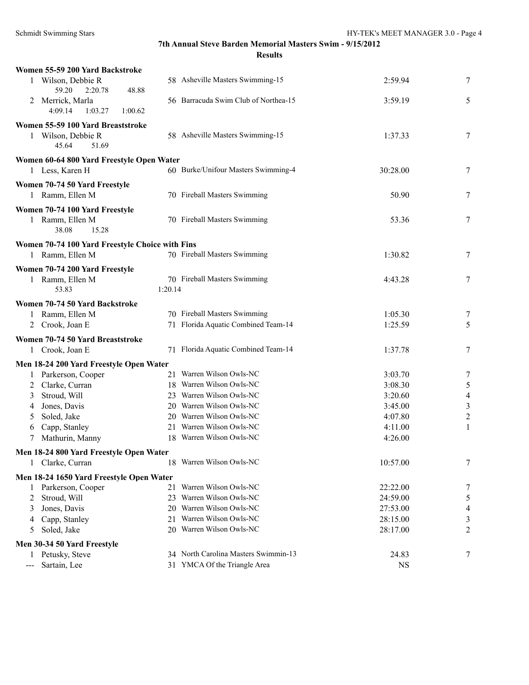| Women 55-59 200 Yard Backstroke                                           |         |                                      |           |                |
|---------------------------------------------------------------------------|---------|--------------------------------------|-----------|----------------|
| 1 Wilson, Debbie R<br>59.20<br>2:20.78<br>48.88                           |         | 58 Asheville Masters Swimming-15     | 2:59.94   | 7              |
| 2 Merrick, Marla<br>4:09.14<br>1:03.27<br>1:00.62                         |         | 56 Barracuda Swim Club of Northea-15 | 3:59.19   | 5              |
| Women 55-59 100 Yard Breaststroke<br>1 Wilson, Debbie R<br>45.64<br>51.69 |         | 58 Asheville Masters Swimming-15     | 1:37.33   | 7              |
| Women 60-64 800 Yard Freestyle Open Water                                 |         |                                      |           |                |
| 1 Less, Karen H                                                           |         | 60 Burke/Unifour Masters Swimming-4  | 30:28.00  | 7              |
| Women 70-74 50 Yard Freestyle<br>1 Ramm, Ellen M                          |         | 70 Fireball Masters Swimming         | 50.90     | 7              |
| Women 70-74 100 Yard Freestyle<br>1 Ramm, Ellen M<br>38.08<br>15.28       |         | 70 Fireball Masters Swimming         | 53.36     | 7              |
| Women 70-74 100 Yard Freestyle Choice with Fins                           |         |                                      |           |                |
| 1 Ramm, Ellen M                                                           |         | 70 Fireball Masters Swimming         | 1:30.82   | 7              |
| Women 70-74 200 Yard Freestyle                                            |         |                                      |           |                |
| 1 Ramm, Ellen M<br>53.83                                                  | 1:20.14 | 70 Fireball Masters Swimming         | 4:43.28   | 7              |
| Women 70-74 50 Yard Backstroke                                            |         |                                      |           |                |
| 1 Ramm, Ellen M                                                           |         | 70 Fireball Masters Swimming         | 1:05.30   | 7              |
| 2 Crook, Joan E                                                           |         | 71 Florida Aquatic Combined Team-14  | 1:25.59   | 5              |
| Women 70-74 50 Yard Breaststroke                                          |         |                                      |           |                |
| 1 Crook, Joan E                                                           |         | 71 Florida Aquatic Combined Team-14  | 1:37.78   | 7              |
|                                                                           |         |                                      |           |                |
| Men 18-24 200 Yard Freestyle Open Water<br>1 Parkerson, Cooper            |         | 21 Warren Wilson Owls-NC             | 3:03.70   | 7              |
| Clarke, Curran<br>2                                                       |         | 18 Warren Wilson Owls-NC             | 3:08.30   | $\sqrt{5}$     |
| Stroud, Will<br>3                                                         |         | 23 Warren Wilson Owls-NC             | 3:20.60   | $\overline{4}$ |
| Jones, Davis<br>4                                                         |         | 20 Warren Wilson Owls-NC             | 3:45.00   | $\mathfrak{Z}$ |
| Soled, Jake<br>5                                                          |         | 20 Warren Wilson Owls-NC             | 4:07.80   | $\sqrt{2}$     |
| Capp, Stanley<br>6                                                        |         | 21 Warren Wilson Owls-NC             | 4:11.00   | 1              |
| Mathurin, Manny<br>7                                                      |         | 18 Warren Wilson Owls-NC             | 4:26.00   |                |
|                                                                           |         |                                      |           |                |
| Men 18-24 800 Yard Freestyle Open Water                                   |         | 18 Warren Wilson Owls-NC             | 10:57.00  | 7              |
| Clarke, Curran                                                            |         |                                      |           |                |
| Men 18-24 1650 Yard Freestyle Open Water                                  |         |                                      |           |                |
| Parkerson, Cooper<br>1                                                    | 21      | Warren Wilson Owls-NC                | 22:22.00  | 7              |
| Stroud, Will<br>2                                                         | 23      | Warren Wilson Owls-NC                | 24:59.00  | 5              |
| Jones, Davis<br>3                                                         |         | 20 Warren Wilson Owls-NC             | 27:53.00  | 4              |
| Capp, Stanley<br>4                                                        | 21      | Warren Wilson Owls-NC                | 28:15.00  | 3              |
| Soled, Jake<br>5                                                          |         | 20 Warren Wilson Owls-NC             | 28:17.00  | $\overline{2}$ |
| Men 30-34 50 Yard Freestyle                                               |         |                                      |           |                |
| 1 Petusky, Steve                                                          |         | 34 North Carolina Masters Swimmin-13 | 24.83     | 7              |
| Sartain, Lee                                                              |         | 31 YMCA Of the Triangle Area         | <b>NS</b> |                |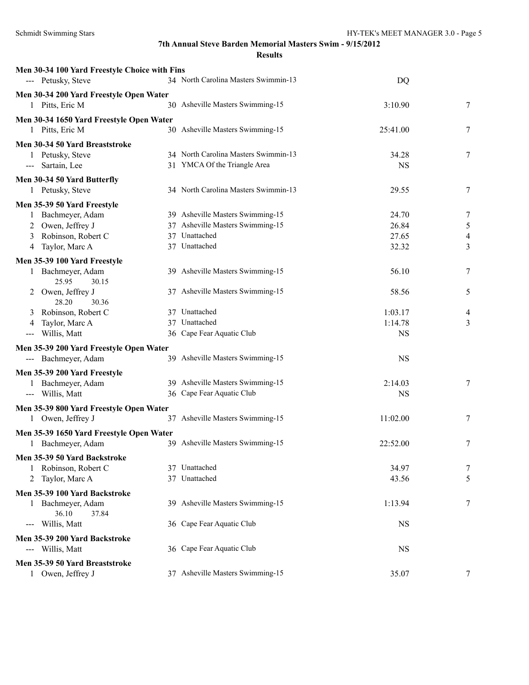| Men 30-34 100 Yard Freestyle Choice with Fins |                                      |                      |   |
|-----------------------------------------------|--------------------------------------|----------------------|---|
| --- Petusky, Steve                            | 34 North Carolina Masters Swimmin-13 | DQ                   |   |
| Men 30-34 200 Yard Freestyle Open Water       |                                      |                      |   |
| 1 Pitts, Eric M                               | 30 Asheville Masters Swimming-15     | 3:10.90              | 7 |
| Men 30-34 1650 Yard Freestyle Open Water      |                                      |                      |   |
| 1 Pitts, Eric M                               | 30 Asheville Masters Swimming-15     | 25:41.00             | 7 |
| Men 30-34 50 Yard Breaststroke                |                                      |                      |   |
| 1 Petusky, Steve                              | 34 North Carolina Masters Swimmin-13 | 34.28                | 7 |
| --- Sartain, Lee                              | 31 YMCA Of the Triangle Area         | <b>NS</b>            |   |
| Men 30-34 50 Yard Butterfly                   |                                      |                      |   |
| 1 Petusky, Steve                              | 34 North Carolina Masters Swimmin-13 | 29.55                | 7 |
| Men 35-39 50 Yard Freestyle                   |                                      |                      |   |
| Bachmeyer, Adam<br>1                          | 39 Asheville Masters Swimming-15     | 24.70                | 7 |
| Owen, Jeffrey J<br>2                          | 37 Asheville Masters Swimming-15     | 26.84                | 5 |
| Robinson, Robert C<br>3                       | 37 Unattached                        | 27.65                | 4 |
| Taylor, Marc A<br>4                           | 37 Unattached                        | 32.32                | 3 |
| Men 35-39 100 Yard Freestyle                  |                                      |                      |   |
| 1 Bachmeyer, Adam<br>25.95<br>30.15           | 39 Asheville Masters Swimming-15     | 56.10                | 7 |
| 2 Owen, Jeffrey J                             | 37 Asheville Masters Swimming-15     | 58.56                | 5 |
| 28.20<br>30.36                                |                                      |                      |   |
| Robinson, Robert C<br>3                       | 37 Unattached<br>37 Unattached       | 1:03.17              | 4 |
| Taylor, Marc A<br>4<br>Willis, Matt           | 36 Cape Fear Aquatic Club            | 1:14.78<br><b>NS</b> | 3 |
| $\scriptstyle\cdots\scriptstyle\cdots$        |                                      |                      |   |
| Men 35-39 200 Yard Freestyle Open Water       | 39 Asheville Masters Swimming-15     |                      |   |
| --- Bachmeyer, Adam                           |                                      | <b>NS</b>            |   |
| Men 35-39 200 Yard Freestyle                  |                                      |                      |   |
| 1 Bachmeyer, Adam                             | 39 Asheville Masters Swimming-15     | 2:14.03              | 7 |
| --- Willis, Matt                              | 36 Cape Fear Aquatic Club            | <b>NS</b>            |   |
| Men 35-39 800 Yard Freestyle Open Water       |                                      |                      |   |
| 1 Owen, Jeffrey J                             | 37 Asheville Masters Swimming-15     | 11:02.00             | 7 |
| Men 35-39 1650 Yard Freestyle Open Water      |                                      |                      |   |
| 1 Bachmeyer, Adam                             | 39 Asheville Masters Swimming-15     | 22:52.00             | 7 |
| Men 35-39 50 Yard Backstroke                  |                                      |                      |   |
| 1 Robinson, Robert C                          | 37 Unattached                        | 34.97                | 7 |
| 2 Taylor, Marc A                              | 37 Unattached                        | 43.56                | 5 |
| Men 35-39 100 Yard Backstroke                 |                                      |                      |   |
| 1 Bachmeyer, Adam                             | 39 Asheville Masters Swimming-15     | 1:13.94              | 7 |
| 36.10<br>37.84                                |                                      |                      |   |
| Willis, Matt<br>$---$                         | 36 Cape Fear Aquatic Club            | <b>NS</b>            |   |
| Men 35-39 200 Yard Backstroke                 |                                      |                      |   |
| --- Willis, Matt                              | 36 Cape Fear Aquatic Club            | <b>NS</b>            |   |
| Men 35-39 50 Yard Breaststroke                |                                      |                      |   |
| 1 Owen, Jeffrey J                             | 37 Asheville Masters Swimming-15     | 35.07                | 7 |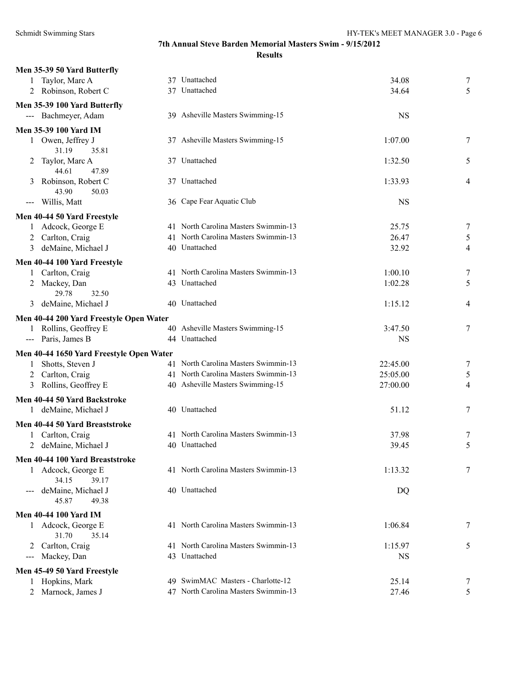| Men 35-39 50 Yard Butterfly                                                                                                                                                                                                                                                                                                                                                                                                                                                                |                                                                              |           |                  |
|--------------------------------------------------------------------------------------------------------------------------------------------------------------------------------------------------------------------------------------------------------------------------------------------------------------------------------------------------------------------------------------------------------------------------------------------------------------------------------------------|------------------------------------------------------------------------------|-----------|------------------|
| Taylor, Marc A                                                                                                                                                                                                                                                                                                                                                                                                                                                                             | 37 Unattached                                                                | 34.08     | 7                |
| 2 Robinson, Robert C                                                                                                                                                                                                                                                                                                                                                                                                                                                                       | 37 Unattached                                                                | 34.64     | 5                |
| Men 35-39 100 Yard Butterfly                                                                                                                                                                                                                                                                                                                                                                                                                                                               |                                                                              |           |                  |
| --- Bachmeyer, Adam                                                                                                                                                                                                                                                                                                                                                                                                                                                                        | 39 Asheville Masters Swimming-15                                             | <b>NS</b> |                  |
| Men 35-39 100 Yard IM                                                                                                                                                                                                                                                                                                                                                                                                                                                                      |                                                                              |           |                  |
| 1 Owen, Jeffrey J                                                                                                                                                                                                                                                                                                                                                                                                                                                                          | 37 Asheville Masters Swimming-15                                             | 1:07.00   | 7                |
| 31.19<br>35.81                                                                                                                                                                                                                                                                                                                                                                                                                                                                             |                                                                              |           |                  |
| Taylor, Marc A<br>2<br>44.61<br>47.89                                                                                                                                                                                                                                                                                                                                                                                                                                                      | 37 Unattached                                                                | 1:32.50   | 5                |
| Robinson, Robert C                                                                                                                                                                                                                                                                                                                                                                                                                                                                         | 37 Unattached                                                                | 1:33.93   | 4                |
| 43.90<br>50.03                                                                                                                                                                                                                                                                                                                                                                                                                                                                             |                                                                              |           |                  |
| Willis, Matt<br>$\frac{1}{2} \left( \frac{1}{2} \right) \left( \frac{1}{2} \right) \left( \frac{1}{2} \right) \left( \frac{1}{2} \right) \left( \frac{1}{2} \right) \left( \frac{1}{2} \right) \left( \frac{1}{2} \right) \left( \frac{1}{2} \right) \left( \frac{1}{2} \right) \left( \frac{1}{2} \right) \left( \frac{1}{2} \right) \left( \frac{1}{2} \right) \left( \frac{1}{2} \right) \left( \frac{1}{2} \right) \left( \frac{1}{2} \right) \left( \frac{1}{2} \right) \left( \frac$ | 36 Cape Fear Aquatic Club                                                    | <b>NS</b> |                  |
| Men 40-44 50 Yard Freestyle                                                                                                                                                                                                                                                                                                                                                                                                                                                                |                                                                              |           |                  |
| 1 Adcock, George E                                                                                                                                                                                                                                                                                                                                                                                                                                                                         | 41 North Carolina Masters Swimmin-13                                         | 25.75     | $\overline{7}$   |
| 2 Carlton, Craig                                                                                                                                                                                                                                                                                                                                                                                                                                                                           | 41 North Carolina Masters Swimmin-13                                         | 26.47     | 5                |
| deMaine, Michael J<br>3                                                                                                                                                                                                                                                                                                                                                                                                                                                                    | 40 Unattached                                                                | 32.92     | 4                |
| Men 40-44 100 Yard Freestyle                                                                                                                                                                                                                                                                                                                                                                                                                                                               |                                                                              |           |                  |
| 1 Carlton, Craig                                                                                                                                                                                                                                                                                                                                                                                                                                                                           | 41 North Carolina Masters Swimmin-13                                         | 1:00.10   | $\boldsymbol{7}$ |
| 2 Mackey, Dan                                                                                                                                                                                                                                                                                                                                                                                                                                                                              | 43 Unattached                                                                | 1:02.28   | 5                |
| 29.78<br>32.50                                                                                                                                                                                                                                                                                                                                                                                                                                                                             |                                                                              |           |                  |
| deMaine, Michael J<br>3                                                                                                                                                                                                                                                                                                                                                                                                                                                                    | 40 Unattached                                                                | 1:15.12   | $\overline{4}$   |
| Men 40-44 200 Yard Freestyle Open Water                                                                                                                                                                                                                                                                                                                                                                                                                                                    |                                                                              |           |                  |
| 1 Rollins, Geoffrey E                                                                                                                                                                                                                                                                                                                                                                                                                                                                      | 40 Asheville Masters Swimming-15                                             | 3:47.50   | 7                |
| --- Paris, James B                                                                                                                                                                                                                                                                                                                                                                                                                                                                         | 44 Unattached                                                                | <b>NS</b> |                  |
|                                                                                                                                                                                                                                                                                                                                                                                                                                                                                            |                                                                              |           |                  |
| Men 40-44 1650 Yard Freestyle Open Water                                                                                                                                                                                                                                                                                                                                                                                                                                                   |                                                                              |           |                  |
| Shotts, Steven J<br>1                                                                                                                                                                                                                                                                                                                                                                                                                                                                      | 41 North Carolina Masters Swimmin-13<br>41 North Carolina Masters Swimmin-13 | 22:45.00  | $\boldsymbol{7}$ |
| 2 Carlton, Craig                                                                                                                                                                                                                                                                                                                                                                                                                                                                           |                                                                              | 25:05.00  | 5                |
| 3 Rollins, Geoffrey E                                                                                                                                                                                                                                                                                                                                                                                                                                                                      | 40 Asheville Masters Swimming-15                                             | 27:00.00  | 4                |
| Men 40-44 50 Yard Backstroke                                                                                                                                                                                                                                                                                                                                                                                                                                                               |                                                                              |           |                  |
| 1 deMaine, Michael J                                                                                                                                                                                                                                                                                                                                                                                                                                                                       | 40 Unattached                                                                | 51.12     | 7                |
| Men 40-44 50 Yard Breaststroke                                                                                                                                                                                                                                                                                                                                                                                                                                                             |                                                                              |           |                  |
| Carlton, Craig<br>$\mathbf{1}$                                                                                                                                                                                                                                                                                                                                                                                                                                                             | 41 North Carolina Masters Swimmin-13                                         | 37.98     | 7                |
| deMaine, Michael J                                                                                                                                                                                                                                                                                                                                                                                                                                                                         | 40 Unattached                                                                | 39.45     | 5                |
| Men 40-44 100 Yard Breaststroke                                                                                                                                                                                                                                                                                                                                                                                                                                                            |                                                                              |           |                  |
| 1 Adcock, George E<br>34.15<br>39.17                                                                                                                                                                                                                                                                                                                                                                                                                                                       | 41 North Carolina Masters Swimmin-13                                         | 1:13.32   | 7                |
| deMaine, Michael J<br>45.87<br>49.38                                                                                                                                                                                                                                                                                                                                                                                                                                                       | 40 Unattached                                                                | DQ        |                  |
|                                                                                                                                                                                                                                                                                                                                                                                                                                                                                            |                                                                              |           |                  |
| <b>Men 40-44 100 Yard IM</b>                                                                                                                                                                                                                                                                                                                                                                                                                                                               |                                                                              |           |                  |
| 1 Adcock, George E<br>35.14<br>31.70                                                                                                                                                                                                                                                                                                                                                                                                                                                       | 41 North Carolina Masters Swimmin-13                                         | 1:06.84   | 7                |
| 2 Carlton, Craig                                                                                                                                                                                                                                                                                                                                                                                                                                                                           | 41 North Carolina Masters Swimmin-13                                         | 1:15.97   | 5                |
| Mackey, Dan<br>$\qquad \qquad - -$                                                                                                                                                                                                                                                                                                                                                                                                                                                         | 43 Unattached                                                                | <b>NS</b> |                  |
| Men 45-49 50 Yard Freestyle                                                                                                                                                                                                                                                                                                                                                                                                                                                                |                                                                              |           |                  |
| Hopkins, Mark<br>1                                                                                                                                                                                                                                                                                                                                                                                                                                                                         | 49 SwimMAC Masters - Charlotte-12                                            | 25.14     | 7                |
| Marnock, James J<br>2                                                                                                                                                                                                                                                                                                                                                                                                                                                                      | 47 North Carolina Masters Swimmin-13                                         | 27.46     | 5                |
|                                                                                                                                                                                                                                                                                                                                                                                                                                                                                            |                                                                              |           |                  |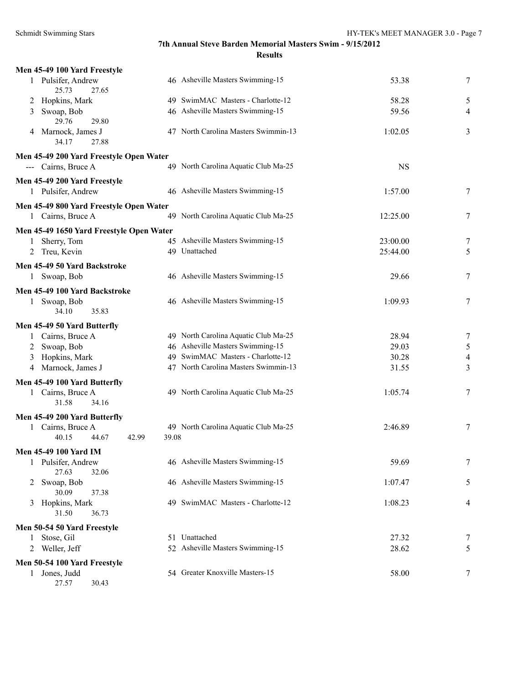| Men 45-49 100 Yard Freestyle                            |                                      |           |                |
|---------------------------------------------------------|--------------------------------------|-----------|----------------|
| 1 Pulsifer, Andrew<br>25.73<br>27.65                    | 46 Asheville Masters Swimming-15     | 53.38     | 7              |
| Hopkins, Mark<br>2                                      | 49 SwimMAC Masters - Charlotte-12    | 58.28     | 5              |
| Swoap, Bob<br>3                                         | 46 Asheville Masters Swimming-15     | 59.56     | $\overline{4}$ |
| 29.76<br>29.80                                          |                                      |           |                |
| 4 Marnock, James J<br>34.17<br>27.88                    | 47 North Carolina Masters Swimmin-13 | 1:02.05   | 3              |
| Men 45-49 200 Yard Freestyle Open Water                 |                                      |           |                |
| --- Cairns, Bruce A                                     | 49 North Carolina Aquatic Club Ma-25 | <b>NS</b> |                |
| Men 45-49 200 Yard Freestyle                            |                                      |           |                |
| 1 Pulsifer, Andrew                                      | 46 Asheville Masters Swimming-15     | 1:57.00   | 7              |
| Men 45-49 800 Yard Freestyle Open Water                 |                                      |           |                |
| 1 Cairns, Bruce A                                       | 49 North Carolina Aquatic Club Ma-25 | 12:25.00  | 7              |
|                                                         |                                      |           |                |
| Men 45-49 1650 Yard Freestyle Open Water<br>Sherry, Tom | 45 Asheville Masters Swimming-15     | 23:00.00  | 7              |
| 1<br>2 Treu, Kevin                                      | 49 Unattached                        | 25:44.00  | 5              |
|                                                         |                                      |           |                |
| Men 45-49 50 Yard Backstroke                            |                                      |           |                |
| 1 Swoap, Bob                                            | 46 Asheville Masters Swimming-15     | 29.66     | 7              |
| Men 45-49 100 Yard Backstroke                           |                                      |           |                |
| 1 Swoap, Bob                                            | 46 Asheville Masters Swimming-15     | 1:09.93   | 7              |
| 35.83<br>34.10                                          |                                      |           |                |
| Men 45-49 50 Yard Butterfly                             |                                      |           |                |
| 1 Cairns, Bruce A                                       | 49 North Carolina Aquatic Club Ma-25 | 28.94     | 7              |
| 2 Swoap, Bob                                            | 46 Asheville Masters Swimming-15     | 29.03     | $\mathfrak s$  |
| Hopkins, Mark<br>3                                      | 49 SwimMAC Masters - Charlotte-12    | 30.28     | $\overline{4}$ |
| 4 Marnock, James J                                      | 47 North Carolina Masters Swimmin-13 | 31.55     | 3              |
| Men 45-49 100 Yard Butterfly                            |                                      |           |                |
| 1 Cairns, Bruce A                                       | 49 North Carolina Aquatic Club Ma-25 | 1:05.74   | 7              |
| 31.58<br>34.16                                          |                                      |           |                |
| Men 45-49 200 Yard Butterfly                            |                                      |           |                |
| 1 Cairns, Bruce A                                       | 49 North Carolina Aquatic Club Ma-25 | 2:46.89   | 7              |
| 40.15<br>44.67<br>42.99                                 | 39.08                                |           |                |
| Men 45-49 100 Yard IM                                   |                                      |           |                |
| 1 Pulsifer, Andrew                                      | 46 Asheville Masters Swimming-15     | 59.69     | 7              |
| 27.63<br>32.06                                          |                                      |           |                |
| Swoap, Bob<br>2                                         | 46 Asheville Masters Swimming-15     | 1:07.47   | 5              |
| 30.09<br>37.38                                          |                                      |           |                |
| Hopkins, Mark<br>3                                      | 49 SwimMAC Masters - Charlotte-12    | 1:08.23   | 4              |
| 31.50<br>36.73                                          |                                      |           |                |
| Men 50-54 50 Yard Freestyle                             |                                      |           |                |
| 1 Stose, Gil                                            | 51 Unattached                        | 27.32     | 7              |
| 2 Weller, Jeff                                          | 52 Asheville Masters Swimming-15     | 28.62     | 5              |
| Men 50-54 100 Yard Freestyle                            |                                      |           |                |
| 1 Jones, Judd                                           | 54 Greater Knoxville Masters-15      | 58.00     | 7              |
| 27.57<br>30.43                                          |                                      |           |                |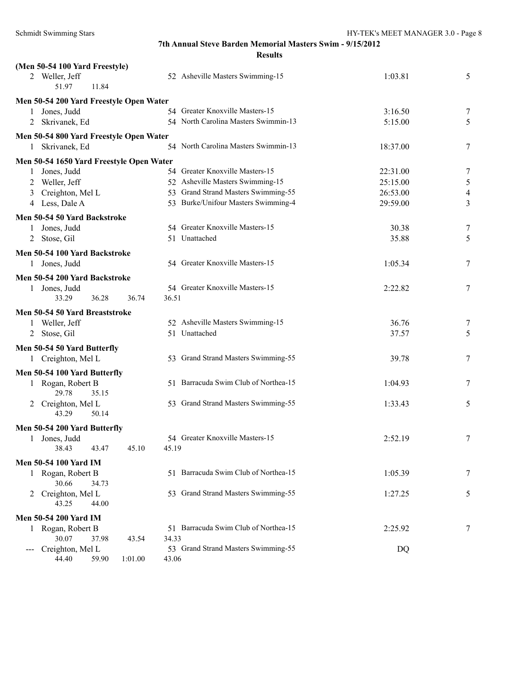| (Men 50-54 100 Yard Freestyle)                    |                                      |          |                          |
|---------------------------------------------------|--------------------------------------|----------|--------------------------|
| 2 Weller, Jeff                                    | 52 Asheville Masters Swimming-15     | 1:03.81  | 5                        |
| 51.97<br>11.84                                    |                                      |          |                          |
| Men 50-54 200 Yard Freestyle Open Water           |                                      |          |                          |
| Jones, Judd<br>$\mathbf{1}$                       | 54 Greater Knoxville Masters-15      | 3:16.50  | 7                        |
| 2 Skrivanek, Ed                                   | 54 North Carolina Masters Swimmin-13 | 5:15.00  | 5                        |
| Men 50-54 800 Yard Freestyle Open Water           |                                      |          |                          |
| 1 Skrivanek, Ed                                   | 54 North Carolina Masters Swimmin-13 | 18:37.00 | 7                        |
| Men 50-54 1650 Yard Freestyle Open Water          |                                      |          |                          |
| Jones, Judd                                       | 54 Greater Knoxville Masters-15      | 22:31.00 | 7                        |
| Weller, Jeff<br>2                                 | 52 Asheville Masters Swimming-15     | 25:15.00 | 5                        |
| Creighton, Mel L<br>3                             | 53 Grand Strand Masters Swimming-55  | 26:53.00 | $\overline{\mathcal{A}}$ |
| 4 Less, Dale A                                    | 53 Burke/Unifour Masters Swimming-4  | 29:59.00 | 3                        |
| Men 50-54 50 Yard Backstroke                      |                                      |          |                          |
| Jones, Judd<br>1                                  | 54 Greater Knoxville Masters-15      | 30.38    | 7                        |
| Stose, Gil<br>2                                   | 51 Unattached                        | 35.88    | 5                        |
| Men 50-54 100 Yard Backstroke                     |                                      |          |                          |
| 1 Jones, Judd                                     | 54 Greater Knoxville Masters-15      | 1:05.34  | 7                        |
|                                                   |                                      |          |                          |
| Men 50-54 200 Yard Backstroke                     |                                      |          |                          |
| 1 Jones, Judd<br>33.29<br>36.28<br>36.74<br>36.51 | 54 Greater Knoxville Masters-15      | 2:22.82  | 7                        |
|                                                   |                                      |          |                          |
| Men 50-54 50 Yard Breaststroke                    |                                      |          |                          |
| 1 Weller, Jeff                                    | 52 Asheville Masters Swimming-15     | 36.76    | 7                        |
| 2 Stose, Gil                                      | 51 Unattached                        | 37.57    | 5                        |
| Men 50-54 50 Yard Butterfly                       |                                      |          |                          |
| 1 Creighton, Mel L                                | 53 Grand Strand Masters Swimming-55  | 39.78    | 7                        |
| Men 50-54 100 Yard Butterfly                      |                                      |          |                          |
| 1 Rogan, Robert B                                 | 51 Barracuda Swim Club of Northea-15 | 1:04.93  | 7                        |
| 29.78<br>35.15                                    |                                      |          |                          |
| 2 Creighton, Mel L                                | 53 Grand Strand Masters Swimming-55  | 1:33.43  | 5                        |
| 43.29<br>50.14                                    |                                      |          |                          |
| Men 50-54 200 Yard Butterfly                      |                                      |          |                          |
| 1 Jones, Judd                                     | 54 Greater Knoxville Masters-15      | 2:52.19  | 7                        |
| 38.43<br>43.47<br>45.10<br>45.19                  |                                      |          |                          |
| <b>Men 50-54 100 Yard IM</b>                      |                                      |          |                          |
| 1 Rogan, Robert B                                 | 51 Barracuda Swim Club of Northea-15 | 1:05.39  | 7                        |
| 30.66<br>34.73                                    |                                      |          |                          |
| Creighton, Mel L<br>2                             | 53 Grand Strand Masters Swimming-55  | 1:27.25  | 5                        |
| 43.25<br>44.00                                    |                                      |          |                          |
| <b>Men 50-54 200 Yard IM</b>                      |                                      |          |                          |
| 1 Rogan, Robert B                                 | 51 Barracuda Swim Club of Northea-15 | 2:25.92  | 7                        |
| 30.07<br>37.98<br>43.54<br>34.33                  |                                      |          |                          |
| Creighton, Mel L                                  | 53 Grand Strand Masters Swimming-55  | DQ       |                          |
| 44.40<br>59.90<br>1:01.00<br>43.06                |                                      |          |                          |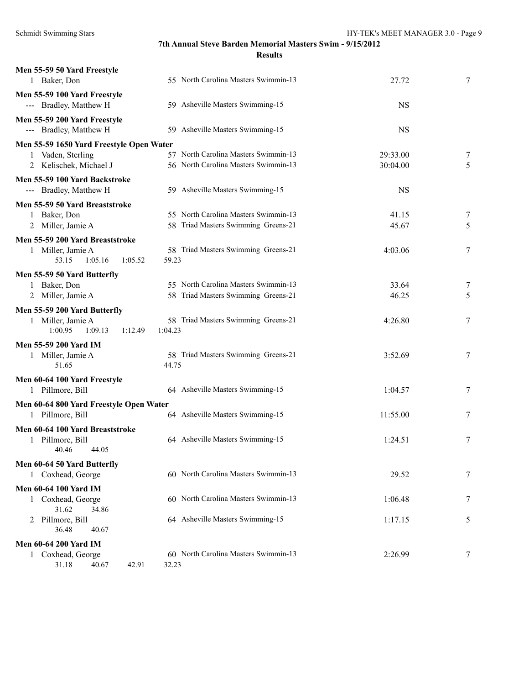| Men 55-59 50 Yard Freestyle<br>1 Baker, Don            | 55 North Carolina Masters Swimmin-13                                         | 27.72                | 7      |
|--------------------------------------------------------|------------------------------------------------------------------------------|----------------------|--------|
| Men 55-59 100 Yard Freestyle<br>--- Bradley, Matthew H | 59 Asheville Masters Swimming-15                                             | <b>NS</b>            |        |
| Men 55-59 200 Yard Freestyle<br>--- Bradley, Matthew H | 59 Asheville Masters Swimming-15                                             | <b>NS</b>            |        |
| Men 55-59 1650 Yard Freestyle Open Water               |                                                                              |                      |        |
| 1 Vaden, Sterling<br>2 Kelischek, Michael J            | 57 North Carolina Masters Swimmin-13<br>56 North Carolina Masters Swimmin-13 | 29:33.00<br>30:04.00 | 7<br>5 |
| Men 55-59 100 Yard Backstroke                          |                                                                              |                      |        |
| --- Bradley, Matthew H                                 | 59 Asheville Masters Swimming-15                                             | <b>NS</b>            |        |
| Men 55-59 50 Yard Breaststroke                         |                                                                              |                      |        |
| 1 Baker, Don                                           | 55 North Carolina Masters Swimmin-13                                         | 41.15                | 7      |
| 2 Miller, Jamie A                                      | 58 Triad Masters Swimming Greens-21                                          | 45.67                | 5      |
| Men 55-59 200 Yard Breaststroke                        |                                                                              |                      |        |
| 1 Miller, Jamie A<br>53.15<br>1:05.16<br>1:05.52       | 58 Triad Masters Swimming Greens-21<br>59.23                                 | 4:03.06              | 7      |
| Men 55-59 50 Yard Butterfly                            |                                                                              |                      |        |
| 1 Baker, Don                                           | 55 North Carolina Masters Swimmin-13                                         | 33.64                | 7      |
| 2 Miller, Jamie A                                      | 58 Triad Masters Swimming Greens-21                                          | 46.25                | 5      |
| Men 55-59 200 Yard Butterfly                           |                                                                              |                      |        |
| 1 Miller, Jamie A<br>1:00.95<br>1:09.13<br>1:12.49     | 58 Triad Masters Swimming Greens-21<br>1:04.23                               | 4:26.80              | 7      |
| <b>Men 55-59 200 Yard IM</b>                           |                                                                              |                      |        |
| 1 Miller, Jamie A<br>51.65                             | 58 Triad Masters Swimming Greens-21<br>44.75                                 | 3:52.69              | 7      |
| Men 60-64 100 Yard Freestyle                           |                                                                              |                      |        |
| 1 Pillmore, Bill                                       | 64 Asheville Masters Swimming-15                                             | 1:04.57              | 7      |
| Men 60-64 800 Yard Freestyle Open Water                |                                                                              |                      |        |
| 1 Pillmore, Bill                                       | 64 Asheville Masters Swimming-15                                             | 11:55.00             | 7      |
| Men 60-64 100 Yard Breaststroke                        |                                                                              |                      |        |
| 1 Pillmore, Bill<br>40.46<br>44.05                     | 64 Asheville Masters Swimming-15                                             | 1:24.51              | 7      |
| Men 60-64 50 Yard Butterfly                            |                                                                              |                      |        |
| 1 Coxhead, George                                      | 60 North Carolina Masters Swimmin-13                                         | 29.52                | 7      |
| <b>Men 60-64 100 Yard IM</b>                           |                                                                              |                      |        |
| 1 Coxhead, George<br>31.62<br>34.86                    | 60 North Carolina Masters Swimmin-13                                         | 1:06.48              | 7      |
| 2 Pillmore, Bill<br>36.48<br>40.67                     | 64 Asheville Masters Swimming-15                                             | 1:17.15              | 5      |
| <b>Men 60-64 200 Yard IM</b>                           |                                                                              |                      |        |
| 1 Coxhead, George<br>31.18<br>40.67<br>42.91           | 60 North Carolina Masters Swimmin-13<br>32.23                                | 2:26.99              | 7      |
|                                                        |                                                                              |                      |        |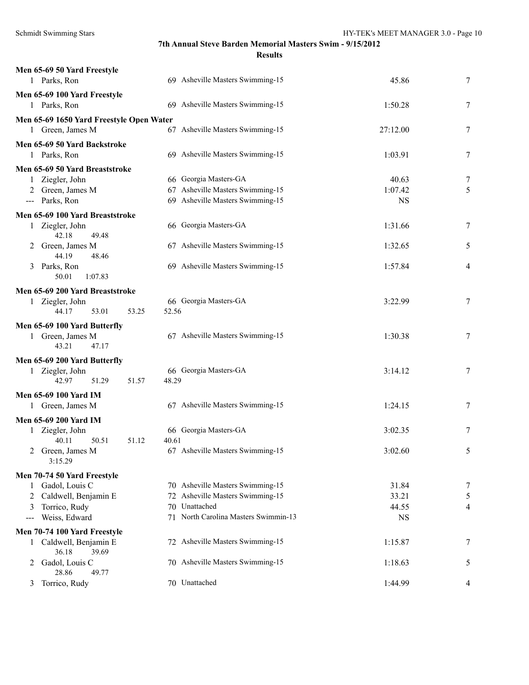| Men 65-69 50 Yard Freestyle              |                                      |           |                |
|------------------------------------------|--------------------------------------|-----------|----------------|
| 1 Parks, Ron                             | 69 Asheville Masters Swimming-15     | 45.86     | 7              |
| Men 65-69 100 Yard Freestyle             |                                      |           |                |
| 1 Parks, Ron                             | 69 Asheville Masters Swimming-15     | 1:50.28   | 7              |
| Men 65-69 1650 Yard Freestyle Open Water |                                      |           |                |
| 1 Green, James M                         | 67 Asheville Masters Swimming-15     | 27:12.00  | 7              |
| Men 65-69 50 Yard Backstroke             |                                      |           |                |
| 1 Parks, Ron                             | 69 Asheville Masters Swimming-15     | 1:03.91   | 7              |
| Men 65-69 50 Yard Breaststroke           |                                      |           |                |
| 1 Ziegler, John                          | 66 Georgia Masters-GA                | 40.63     | 7              |
| 2 Green, James M                         | 67 Asheville Masters Swimming-15     | 1:07.42   | 5              |
| --- Parks, Ron                           | 69 Asheville Masters Swimming-15     | <b>NS</b> |                |
| Men 65-69 100 Yard Breaststroke          |                                      |           |                |
| 1 Ziegler, John                          | 66 Georgia Masters-GA                | 1:31.66   | 7              |
| 42.18<br>49.48                           |                                      |           |                |
| 2 Green, James M                         | 67 Asheville Masters Swimming-15     | 1:32.65   | 5              |
| 44.19<br>48.46                           |                                      |           |                |
| 3 Parks, Ron                             | 69 Asheville Masters Swimming-15     | 1:57.84   | 4              |
| 50.01<br>1:07.83                         |                                      |           |                |
| Men 65-69 200 Yard Breaststroke          |                                      |           |                |
| 1 Ziegler, John                          | 66 Georgia Masters-GA                | 3:22.99   | 7              |
| 44.17<br>53.01<br>53.25                  | 52.56                                |           |                |
| Men 65-69 100 Yard Butterfly             |                                      |           |                |
| 1 Green, James M                         | 67 Asheville Masters Swimming-15     | 1:30.38   | 7              |
| 47.17<br>43.21                           |                                      |           |                |
| Men 65-69 200 Yard Butterfly             |                                      |           |                |
| 1 Ziegler, John                          | 66 Georgia Masters-GA                | 3:14.12   | 7              |
| 42.97<br>51.29<br>51.57                  | 48.29                                |           |                |
| <b>Men 65-69 100 Yard IM</b>             |                                      |           |                |
| 1 Green, James M                         | 67 Asheville Masters Swimming-15     | 1:24.15   | 7              |
| Men 65-69 200 Yard IM                    |                                      |           |                |
| 1 Ziegler, John                          | 66 Georgia Masters-GA                | 3:02.35   | 7              |
| 40.11<br>50.51<br>51.12                  | 40.61                                |           |                |
| 2 Green, James M                         | 67 Asheville Masters Swimming-15     | 3:02.60   |                |
| 3:15.29                                  |                                      |           |                |
| Men 70-74 50 Yard Freestyle              |                                      |           |                |
| Gadol, Louis C<br>1                      | 70 Asheville Masters Swimming-15     | 31.84     | 7              |
| Caldwell, Benjamin E                     | 72 Asheville Masters Swimming-15     | 33.21     | 5              |
| Torrico, Rudy<br>3                       | 70 Unattached                        | 44.55     | $\overline{4}$ |
| Weiss, Edward<br>$---$                   | 71 North Carolina Masters Swimmin-13 | <b>NS</b> |                |
| Men 70-74 100 Yard Freestyle             |                                      |           |                |
| 1 Caldwell, Benjamin E                   | 72 Asheville Masters Swimming-15     | 1:15.87   | 7              |
| 36.18<br>39.69                           |                                      |           |                |
| Gadol, Louis C<br>2                      | 70 Asheville Masters Swimming-15     | 1:18.63   | 5              |
| 28.86<br>49.77                           | 70 Unattached                        |           |                |
| Torrico, Rudy<br>3                       |                                      | 1:44.99   | 4              |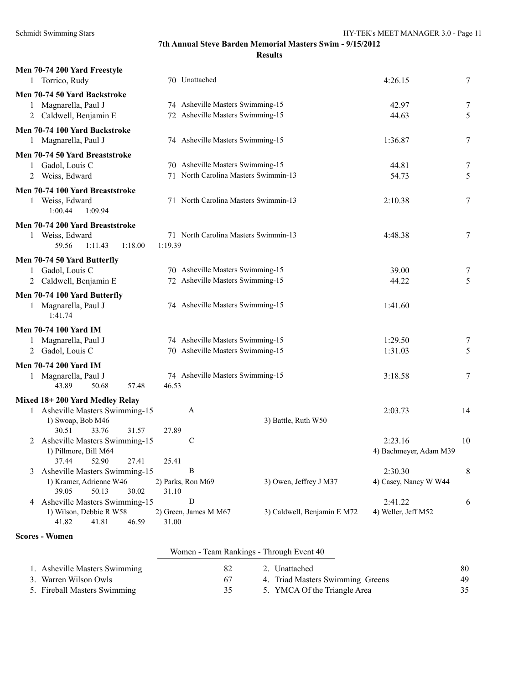| Men 70-74 200 Yard Freestyle<br>1 Torrico, Rudy  | 70 Unattached                        |                             | 4:26.15                | 7  |
|--------------------------------------------------|--------------------------------------|-----------------------------|------------------------|----|
| Men 70-74 50 Yard Backstroke                     |                                      |                             |                        |    |
| 1 Magnarella, Paul J                             | 74 Asheville Masters Swimming-15     |                             | 42.97                  | 7  |
| 2 Caldwell, Benjamin E                           | 72 Asheville Masters Swimming-15     |                             | 44.63                  | 5  |
| Men 70-74 100 Yard Backstroke                    |                                      |                             |                        |    |
| 1 Magnarella, Paul J                             | 74 Asheville Masters Swimming-15     |                             | 1:36.87                | 7  |
| Men 70-74 50 Yard Breaststroke                   |                                      |                             |                        |    |
| 1 Gadol, Louis C                                 | 70 Asheville Masters Swimming-15     |                             | 44.81                  | 7  |
| 2 Weiss, Edward                                  | 71 North Carolina Masters Swimmin-13 |                             | 54.73                  | 5  |
| Men 70-74 100 Yard Breaststroke                  |                                      |                             |                        |    |
| 1 Weiss, Edward                                  | 71 North Carolina Masters Swimmin-13 |                             | 2:10.38                | 7  |
| 1:00.44<br>1:09.94                               |                                      |                             |                        |    |
| Men 70-74 200 Yard Breaststroke                  |                                      |                             |                        |    |
| 1 Weiss, Edward                                  | 71 North Carolina Masters Swimmin-13 |                             | 4:48.38                | 7  |
| 59.56<br>1:11.43<br>1:18.00                      | 1:19.39                              |                             |                        |    |
| Men 70-74 50 Yard Butterfly                      |                                      |                             |                        |    |
| 1 Gadol, Louis C                                 | 70 Asheville Masters Swimming-15     |                             | 39.00                  | 7  |
| 2 Caldwell, Benjamin E                           | 72 Asheville Masters Swimming-15     |                             | 44.22                  | 5  |
| Men 70-74 100 Yard Butterfly                     |                                      |                             |                        |    |
| 1 Magnarella, Paul J<br>1:41.74                  | 74 Asheville Masters Swimming-15     |                             | 1:41.60                |    |
| <b>Men 70-74 100 Yard IM</b>                     |                                      |                             |                        |    |
| Magnarella, Paul J                               | 74 Asheville Masters Swimming-15     |                             | 1:29.50                | 7  |
| 2 Gadol, Louis C                                 | 70 Asheville Masters Swimming-15     |                             | 1:31.03                | 5  |
| <b>Men 70-74 200 Yard IM</b>                     |                                      |                             |                        |    |
| 1 Magnarella, Paul J                             | 74 Asheville Masters Swimming-15     |                             | 3:18.58                | 7  |
| 43.89<br>50.68<br>57.48                          | 46.53                                |                             |                        |    |
| Mixed 18+200 Yard Medley Relay                   |                                      |                             |                        |    |
| 1 Asheville Masters Swimming-15                  | A                                    |                             | 2:03.73                | 14 |
| 1) Swoap, Bob M46                                |                                      | 3) Battle, Ruth W50         |                        |    |
| 33.76<br>31.57<br>30.51                          | 27.89                                |                             |                        |    |
| 2 Asheville Masters Swimming-15                  | С                                    |                             | 2:23.16                | 10 |
| 1) Pillmore, Bill M64<br>37.44<br>52.90<br>27.41 | 25.41                                |                             | 4) Bachmeyer, Adam M39 |    |
| 3 Asheville Masters Swimming-15                  | B                                    |                             | 2:30.30                | 8  |
| 1) Kramer, Adrienne W46                          | 2) Parks, Ron M69                    | 3) Owen, Jeffrey J M37      | 4) Casey, Nancy W W44  |    |
| 39.05<br>50.13<br>30.02                          | 31.10                                |                             |                        |    |
| 4 Asheville Masters Swimming-15                  | ${\bf D}$                            |                             | 2:41.22                | 6  |
| 1) Wilson, Debbie R W58                          | 2) Green, James M M67                | 3) Caldwell, Benjamin E M72 | 4) Weller, Jeff M52    |    |
| 46.59<br>41.82<br>41.81                          | 31.00                                |                             |                        |    |

### **Scores - Women**

|  | Women - Team Rankings - Through Event 40 |  |
|--|------------------------------------------|--|
|  |                                          |  |

| 1. Asheville Masters Swimming | 2. Unattached                    | 80 |
|-------------------------------|----------------------------------|----|
| 3. Warren Wilson Owls         | 4. Triad Masters Swimming Greens | 49 |
| 5. Fireball Masters Swimming  | 5. YMCA Of the Triangle Area     |    |